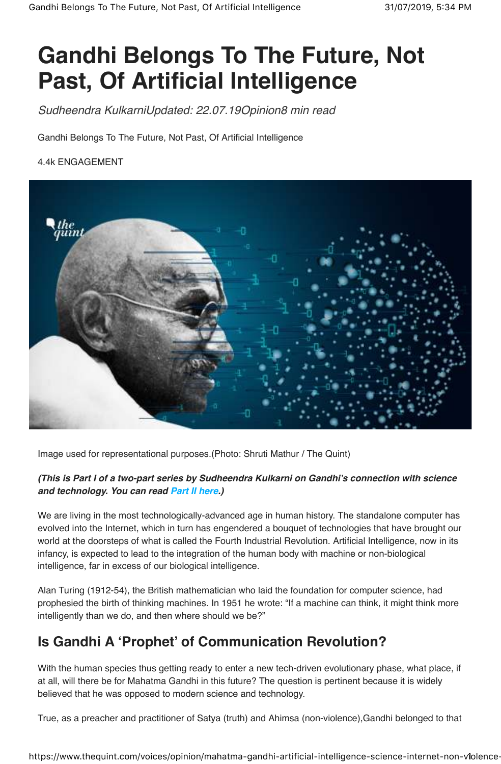# **Gandhi Belongs To The Future, Not Past, Of Artificial Intelligence**

*Sudheendra KulkarniUpdated: 22.07.19Opinion8 min read*

Gandhi Belongs To The Future, Not Past, Of Artificial Intelligence

#### 4.4k ENGAGEMENT



Image used for representational purposes.(Photo: Shruti Mathur / The Quint)

#### **(This is Part I of a two-part series by Sudheendra Kulkarni on Gandhi's connection with science and technology. You can read Part II here.)**

We are living in the most technologically-advanced age in human history. The standalone computer has evolved into the Internet, which in turn has engendered a bouquet of technologies that have brought our world at the doorsteps of what is called the Fourth Industrial Revolution. Artificial Intelligence, now in its infancy, is expected to lead to the integration of the human body with machine or non-biological intelligence, far in excess of our biological intelligence.

Alan Turing (1912-54), the British mathematician who laid the foundation for computer science, had prophesied the birth of thinking machines. In 1951 he wrote: "If a machine can think, it might think more intelligently than we do, and then where should we be?"

## **Is Gandhi A 'Prophet' of Communication Revolution?**

With the human species thus getting ready to enter a new tech-driven evolutionary phase, what place, if at all, will there be for Mahatma Gandhi in this future? The question is pertinent because it is widely believed that he was opposed to modern science and technology.

True, as a preacher and practitioner of Satya (truth) and Ahimsa (non-violence),Gandhi belonged to that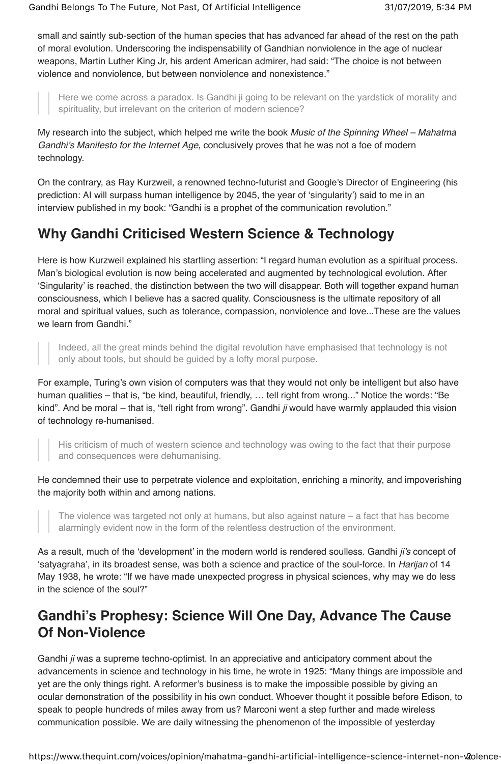small and saintly sub-section of the human species that has advanced far ahead of the rest on the path of moral evolution. Underscoring the indispensability of Gandhian nonviolence in the age of nuclear weapons, Martin Luther King Jr, his ardent American admirer, had said: "The choice is not between violence and nonviolence*,* but between nonviolence and nonexistence."

Here we come across a paradox. Is Gandhi ji going to be relevant on the yardstick of morality and spirituality, but irrelevant on the criterion of modern science?

My research into the subject, which helped me write the book *Music of the Spinning Wheel – Mahatma Gandhi's Manifesto for the Internet Age*, conclusively proves that he was not a foe of modern technology.

On the contrary, as Ray Kurzweil, a renowned techno-futurist and Google's Director of Engineering (his prediction: AI will surpass human intelligence by 2045, the year of 'singularity') said to me in an interview published in my book: "Gandhi is a prophet of the communication revolution."

## **Why Gandhi Criticised Western Science & Technology**

Here is how Kurzweil explained his startling assertion: "I regard human evolution as a spiritual process. Man's biological evolution is now being accelerated and augmented by technological evolution. After 'Singularity' is reached, the distinction between the two will disappear. Both will together expand human consciousness, which I believe has a sacred quality. Consciousness is the ultimate repository of all moral and spiritual values, such as tolerance, compassion, nonviolence and love...These are the values we learn from Gandhi."

Indeed, all the great minds behind the digital revolution have emphasised that technology is not only about tools, but should be guided by a lofty moral purpose.

For example, Turing's own vision of computers was that they would not only be intelligent but also have human qualities – that is, "be kind, beautiful, friendly, … tell right from wrong..." Notice the words: "Be kind". And be moral – that is, "tell right from wrong". Gandhi *ji* would have warmly applauded this vision of technology re-humanised.

His criticism of much of western science and technology was owing to the fact that their purpose and consequences were dehumanising.

He condemned their use to perpetrate violence and exploitation, enriching a minority, and impoverishing the majority both within and among nations.

The violence was targeted not only at humans, but also against nature – a fact that has become alarmingly evident now in the form of the relentless destruction of the environment.

As a result, much of the 'development' in the modern world is rendered soulless. Gandhi *ji's* concept of 'satyagraha', in its broadest sense, was both a science and practice of the soul-force. In *Harijan* of 14 May 1938, he wrote: "If we have made unexpected progress in physical sciences, why may we do less in the science of the soul?"

## **Gandhi's Prophesy: Science Will One Day, Advance The Cause Of Non-Violence**

Gandhi *ji* was a supreme techno-optimist. In an appreciative and anticipatory comment about the advancements in science and technology in his time, he wrote in 1925: "Many things are impossible and yet are the only things right. A reformer's business is to make the impossible possible by giving an ocular demonstration of the possibility in his own conduct. Whoever thought it possible before Edison, to speak to people hundreds of miles away from us? Marconi went a step further and made wireless communication possible. We are daily witnessing the phenomenon of the impossible of yesterday

https://www.thequint.com/voices/opinion/mahatma-gandhi-artificial-intelligence-science-internet-non-v2olence-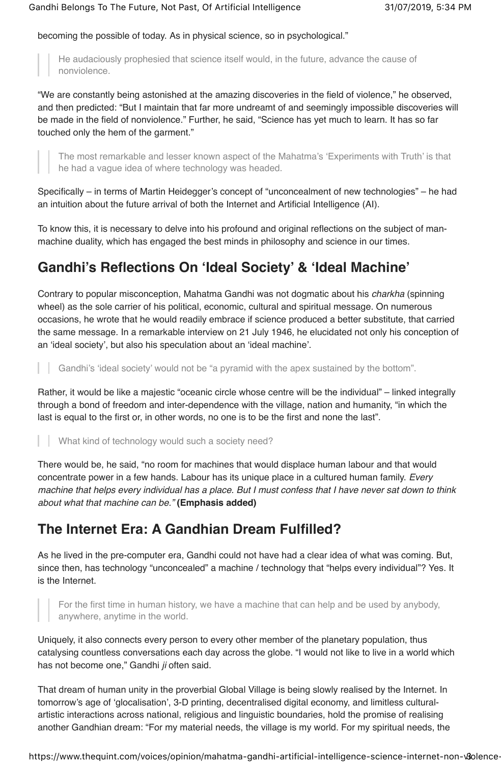becoming the possible of today. As in physical science, so in psychological."

He audaciously prophesied that science itself would, in the future, advance the cause of nonviolence.

"We are constantly being astonished at the amazing discoveries in the field of violence," he observed, and then predicted: "But I maintain that far more undreamt of and seemingly impossible discoveries will be made in the field of nonviolence." Further, he said, "Science has yet much to learn. It has so far touched only the hem of the garment."

The most remarkable and lesser known aspect of the Mahatma's 'Experiments with Truth' is that he had a vague idea of where technology was headed.

Specifically – in terms of Martin Heidegger's concept of "unconcealment of new technologies" – he had an intuition about the future arrival of both the Internet and Artificial Intelligence (AI).

To know this, it is necessary to delve into his profound and original reflections on the subject of manmachine duality, which has engaged the best minds in philosophy and science in our times.

# **Gandhi's Reflections On 'Ideal Society' & 'Ideal Machine'**

Contrary to popular misconception, Mahatma Gandhi was not dogmatic about his *charkha* (spinning wheel) as the sole carrier of his political, economic, cultural and spiritual message. On numerous occasions, he wrote that he would readily embrace if science produced a better substitute, that carried the same message. In a remarkable interview on 21 July 1946, he elucidated not only his conception of an 'ideal society', but also his speculation about an 'ideal machine'.

Gandhi's 'ideal society' would not be "a pyramid with the apex sustained by the bottom".

Rather, it would be like a majestic "oceanic circle whose centre will be the individual" – linked integrally through a bond of freedom and inter-dependence with the village, nation and humanity, "in which the last is equal to the first or, in other words, no one is to be the first and none the last".

What kind of technology would such a society need?

There would be, he said, "no room for machines that would displace human labour and that would concentrate power in a few hands. Labour has its unique place in a cultured human family. *Every machine that helps every individual has a place. But I must confess that I have never sat down to think about what that machine can be."* **(Emphasis added)**

## **The Internet Era: A Gandhian Dream Fulfilled?**

As he lived in the pre-computer era, Gandhi could not have had a clear idea of what was coming. But, since then, has technology "unconcealed" a machine / technology that "helps every individual"? Yes. It is the Internet.

For the first time in human history, we have a machine that can help and be used by anybody, anywhere, anytime in the world.

Uniquely, it also connects every person to every other member of the planetary population, thus catalysing countless conversations each day across the globe. "I would not like to live in a world which has not become one," Gandhi *ji* often said.

That dream of human unity in the proverbial Global Village is being slowly realised by the Internet. In tomorrow's age of 'glocalisation', 3-D printing, decentralised digital economy, and limitless culturalartistic interactions across national, religious and linguistic boundaries, hold the promise of realising another Gandhian dream: "For my material needs, the village is my world. For my spiritual needs, the

https://www.thequint.com/voices/opinion/mahatma-gandhi-artificial-intelligence-science-internet-non-volence-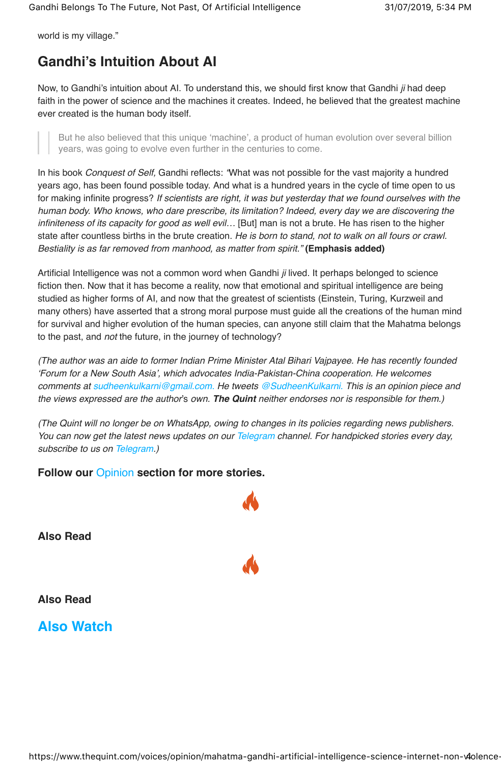world is my village."

# **Gandhi's Intuition About AI**

Now, to Gandhi's intuition about AI. To understand this, we should first know that Gandhi *ji* had deep faith in the power of science and the machines it creates. Indeed, he believed that the greatest machine ever created is the human body itself.

But he also believed that this unique 'machine', a product of human evolution over several billion years, was going to evolve even further in the centuries to come.

In his book *Conquest of Self,* Gandhi reflects: *"*What was not possible for the vast majority a hundred years ago, has been found possible today. And what is a hundred years in the cycle of time open to us for making infinite progress? *If scientists are right, it was but yesterday that we found ourselves with the human body. Who knows, who dare prescribe, its limitation? Indeed, every day we are discovering the infiniteness of its capacity for good as well evil...* [But] man is not a brute. He has risen to the higher state after countless births in the brute creation. *He is born to stand, not to walk on all fours or crawl. Bestiality is as far removed from manhood, as matter from spirit."* **(Emphasis added)**

Artificial Intelligence was not a common word when Gandhi *ji* lived. It perhaps belonged to science fiction then. Now that it has become a reality, now that emotional and spiritual intelligence are being studied as higher forms of AI, and now that the greatest of scientists (Einstein, Turing, Kurzweil and many others) have asserted that a strong moral purpose must guide all the creations of the human mind for survival and higher evolution of the human species, can anyone still claim that the Mahatma belongs to the past, and *not* the future, in the journey of technology?

*(The author was an aide to former Indian Prime Minister Atal Bihari Vajpayee. He has recently founded 'Forum for a New South Asia', which advocates India-Pakistan-China cooperation. He welcomes comments at sudheenkulkarni@gmail.com. He tweets @SudheenKulkarni. This is an opinion piece and the views expressed are the author*'s *own.* **The Quint** *neither endorses nor is responsible for them.)*

*(The Quint will no longer be on WhatsApp, owing to changes in its policies regarding news publishers. You can now get the latest news updates on our Telegram channel. For handpicked stories every day, subscribe to us on Telegram.)*

#### **Follow our** Opinion **section for more stories.**

**Also Read**

**Also Read**

**Also Watch**